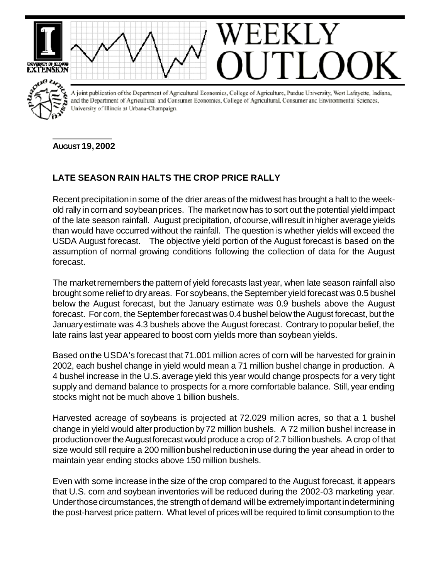



A joint publication of the Department of Agricultural Economics, College of Agriculture, Purdue University, West Lafayette, Indiana, and the Department of Agricultural and Consumer Economics, College of Agricultural, Consumer and Environmental Sciences, University of Illinois at Urbana-Champaign.

## **AUGUST 19, 2002**

## **LATE SEASON RAIN HALTS THE CROP PRICE RALLY**

Recent precipitationin some of the drier areas of the midwest has brought a halt to the weekold rally in cornand soybeanprices. The market now has to sort out the potential yield impact of the late season rainfall. August precipitation, ofcourse,will result in higher average yields than would have occurred without the rainfall. The question is whether yields will exceed the USDA August forecast. The objective yield portion of the August forecast is based on the assumption of normal growing conditions following the collection of data for the August forecast.

The market remembers the pattern of yield forecasts last year, when late season rainfall also brought some reliefto dryareas. For soybeans, the September yield forecast was 0.5 bushel below the August forecast, but the January estimate was 0.9 bushels above the August forecast. For corn, the September forecast was 0.4 bushel below the August forecast, but the Januaryestimate was 4.3 bushels above the August forecast. Contrary to popular belief, the late rains last year appeared to boost corn yields more than soybean yields.

Based onthe USDA's forecast that71.001 million acres of corn will be harvested for grainin 2002, each bushel change in yield would mean a 71 million bushel change in production. A 4 bushel increase in the U.S.average yield this year would change prospects for a very tight supply and demand balance to prospects for a more comfortable balance. Still, year ending stocks might not be much above 1 billion bushels.

Harvested acreage of soybeans is projected at 72.029 million acres, so that a 1 bushel change in yield would alter productionby72 million bushels. A 72 million bushel increase in production over the August forecast would produce a crop of 2.7 billion bushels. A crop of that size would still require a 200 million bushel reduction in use during the year ahead in order to maintain year ending stocks above 150 million bushels.

Even with some increase in the size of the crop compared to the August forecast, it appears that U.S. corn and soybean inventories will be reduced during the 2002-03 marketing year. Under those circumstances, the strength of demand will be extremely important in determining the post-harvest price pattern. What level of prices will be required to limit consumption to the